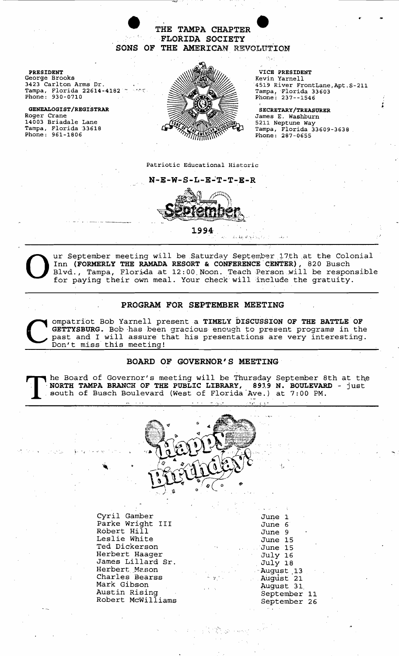# THE TAMPA CHAPTER FLORIDA SOCIETY SONS OF THE AMERICAN REVOLUTION

PRESIDENT George Brooks 3423 Carlton Arms Dr. Tampa, Florida 22614-4182 " Phone: 930-0710

GENEALOGIST/REGISTRAR Roger Crane 14003 Briadale Lane Tampa, Florida 33618 Phone: 961-1806



VICE PRESIDENT Kevin Yarnell 4519 River FrontLane,Apt.S-211 Tampa/Florida 33603 Phone: 237--1546

SECRETARY/TREASURER James E. Washburn 5211 Neptune Way Tampa, Florida 33609-3638 . Phone: 287-0655

, "'.J

Patriotic Educational Historic

 $N-E-W-S-L-E-T-T-E-R$ 



1994  $\frac{1}{2}$ 

UNIFY SEPTEMBER MANIVE SATURE SATURE ON SEPTEMBER 17th at the Colonial Inn (FORMERLY THE RAMADA RESORT & CONFERENCE CENTER), 820 Busch blud., Tampa, Florida at 12:00 Noon. Teach Person will be responsible for paying their Inn (FORMERLY THE RAMADA RESORT & CONFERENCE CENTER), 820 Busch Blvd., Tampa, Florida at 12:00 Noon. Teach Person will be responsible for paying their own meal. Your check will include the gratuity.

ふねん いちょうしょう

## PROGRAM FOR SEPTEMBER MEETING

Compatriot Bob Yarnell present a TIMELY DISCUSSION OF THE BATTLE OF GETTYSBURG. Bob has been gracious enough to present programs in the past and I will assure that his presentations are very interesting Don't miss this mee ompatriot Bob Yarnell present a TIMELY DISCUSSION OF THE BATTLE OF GETTYSBURG. Bob has been gracious enough to present programs in the past and I will assure that his presentations are very interesting. Don't miss this meeting!

### BOARD OF GOVERNOR'S MEETING

I he Board of Governor's meeting will be Thursday September 8th at the NORTH TAMPA BRANCH OF THE PUBLIC LIBRARY, 8919 N. BOULEVARD - just south of Busch Boulevard (West of Florida Ave.) at 7:00 PM.



" .':>' ..

Cyril Gamber Parke Wright III Robert Hill Leslie White Ted Dickerson Herbert Haager James Lillard Sr. Herbert. Mason Charles Bearss Mark Gibson Austin Rising Robert McWilliams

| June<br>1            |    |
|----------------------|----|
| June<br>6.           |    |
| -9<br>June           |    |
| 15<br>June           |    |
| June 15              |    |
| July 16              |    |
| July 18              |    |
| August <sub>13</sub> |    |
| August 21            |    |
| August <sub>31</sub> |    |
| September            | 11 |
| September            | 26 |

1r

 $\ddot{\phantom{1}}$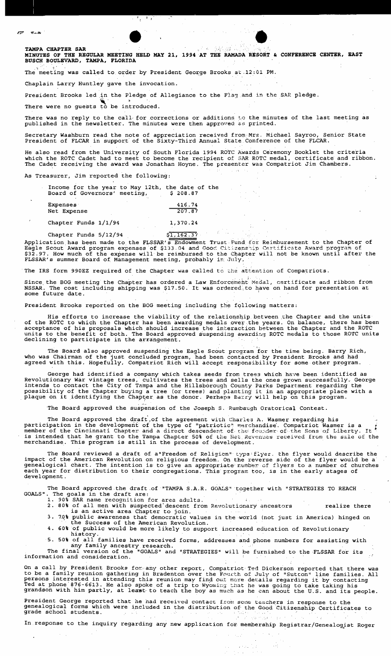**TAMPA CHAPTER SAR<br>MINUTES OF THE REGULAR MEETING HELD MAY 21, 1994 AT THE RAMADA RESORT & CONFERENCE CENTER, EAST BUSCH BOULEVARD, TAMPA, FLORIDA** 

The meeting was called to order by President George Brooks at .12:01 PM.

 $\mathcal{L} = \{ \mathcal{L} \}$ 

Chaplain Larry Huntley gave the invocation.

President Brooks led in the Pledge of Allegiance to the Flag and in the SAR pledge.

There were no guests to be introduced.

There was no reply to the call for corrections or additions to the minutes of the last meeting as published in the newsletter. The minutes were then approved as printed.

Secretary Washburn read the note of appreciation received from Mrs. Michael Sayroo, Senior State<br>President of FLCAR in support of the Sixty-Third Annual State Conference of the FLCAR.<br>We also used from the University of So

He also read from the University of South Florida 1994 ROTC Awards Ceremony Booklet the criteria which the ROTC Cadet had to meet to become the recipient of SAR ROTC medal, certificate and ribbon. The Cadet receiving the award was Jonathan Hoyne. The presenter was Compatriot Jim Chambers.

As Treasurer, Jim reported the following:

| Income for the year to May 12th, the date of the<br>Board of Governors' meeting, | \$208.87         |
|----------------------------------------------------------------------------------|------------------|
| <b>Expenses</b><br>Net Expense                                                   | 416.74<br>207.87 |
| Chapter Funds $1/1/94$                                                           | 1,370.24         |

Chapter Funds  $5/12/94$   $$1,162.37$ 

Application has been made to the FLSSAR's Endowment Trust Fund for Reimbursement to the Chapter of Eagle Scout Award program expenses of \$133,04 and Good Citizenship Certificate Award program of<br>\$32.97. How much of the expense will be reimbursed to the Chapter will not be known until after the FLSSAR's summer Board of Management meeting, probably in July,

The IRS form 990EZ required of the Chapter was called to the attention of Compatriots.

Since the BOG meeting the Chapter has ordered a Law Enforcement Medal, certificate and ribbon from NSSAR. The cost including shipping was \$17.50. It was ordered to have on hand for presentation at some future date.

President Brooks reported on the BOG meeting including the following matters:

. .

His efforts to increase the viability of the relationship between the Chapter and the units of the ROTC to which the Chapter has been awarding medals over the years. On balance, there has been acceptance of his proposals which should increase the interaction between the Chapter and the ROTC units to the benefit of both. The Board approved suspending awarding ROTC medals to those ROTC units declining to participate in the arrangement.

The Board also approved suspending the Eagle Scout program 'for the time being. Barry Rich, who was Chairman of the just concluded program, had been contacted by President Brooks and had agreed with this. Hopefully, Compatriot Rich will accept responsibility for some other program.

George had identified a company which takes seeds from trees which have been identified as Revolutionary War vintage trees, cultivates the trees and sells the ones grown successfully. George intends to contact the City of Tampa and the Hillsborough County Parks Department regarding the<br>possibility of the Chapter buying a tree (or trees) and planting it in an appropriate place with a<br>plaque on it identifying th

The Board approved the suspension of the Joseph S. Rumbaugh Oratorical Contest.

The Board approved the draft of the agreement with Charles A. Wasmer regarding his participation in the development of the type of "patriotic" merchandise'. Compatriot Wasmer is a member of the Cincinnati Chapter and a direct descendent of the founder of the Sons of Liberty. It is intended that he grant to the Tampa Chapter 50% of the Net Revenues received from the sale of the merchandise. This program is still in the process of development.

The Board reviewed a draft of a"Freedom of Religion" type flyer, the flyer would describe the impact of the American Revolution on religious freedom. On the reverse side of the flyer would be a genealogical chart. The intention is to give an appropriate; rumber of flyers to a number of churches each year for distribution to their congregations. This program too, is in the early stages of development.

The Board approved.the draft ,of "TAMPA S.A.R. GOALS" ·together with "STRATEGIES TO REACH GOALS". The goals in the draft are:

1. 90% SAR name recognition for area adults.<br>2. 80% of all men with suspected descent from Revolutionary ancestors **his realize** there is an active area Chapter to join. 3. 70% public awareness that democratic values in the world (not just in America) hinged on the Success of the American Revolution.

4. 60% of public would be more likely to support increased education of Revolutionary

history. 5. 50% of all families have received forms, addresses and phone numbers for assisting with

any family ancestry research.<br>The final version of the "GOALS" and "STRATEGIES" will be furnished to the FLSSAR for its<br>ation and consideration. information and consideration.

On a call by President Brooks for any other report, Compatriot Ted Dickerson reported that there was to be a family reunion gathering in Bradenton over the Fourth of July of "Sutton" line families. All<br>persons interested in attending this reunion may find out more details regarding it by contacting<br>Ted at phone 876-6613.

President George reported that he had received contact from some teachers in response to the<br>genealogical forms which were included in the distribution of the Good Citizenship Certificates to<br>grade school students.  $\pm$ 

In response to the inquiry regarding any new application for membership Registrar/Genealogist Roger